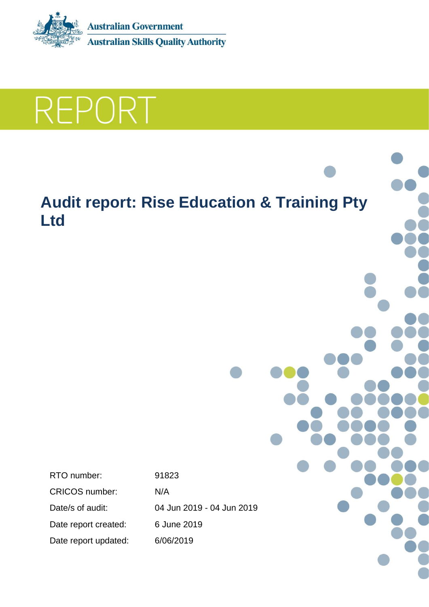

**REPORT** 

# **Audit report: Rise Education & Training Pty Ltd**

RTO number: 91823 CRICOS number: N/A Date/s of audit: 04 Jun 2019 - 04 Jun 2019 Date report created: 6 June 2019 Date report updated: 6/06/2019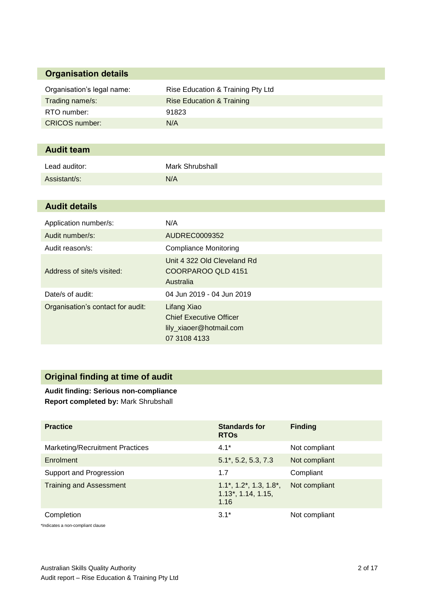# **Organisation details**

| Organisation's legal name: | Rise Education & Training Pty Ltd |
|----------------------------|-----------------------------------|
| Trading name/s:            | Rise Education & Training         |
| RTO number:                | 91823                             |
| CRICOS number:             | N/A                               |

# **Audit team**

| Lead auditor: | Mark Shrubshall |
|---------------|-----------------|
| Assistant/s:  | N/A             |

# **Audit details**

| Application number/s:             | N/A                                                                                      |
|-----------------------------------|------------------------------------------------------------------------------------------|
| Audit number/s:                   | AUDREC0009352                                                                            |
| Audit reason/s:                   | <b>Compliance Monitoring</b>                                                             |
| Address of site/s visited:        | Unit 4 322 Old Cleveland Rd<br>COORPAROO QLD 4151<br>Australia                           |
| Date/s of audit:                  | 04 Jun 2019 - 04 Jun 2019                                                                |
| Organisation's contact for audit: | Lifang Xiao<br><b>Chief Executive Officer</b><br>lily_xiaoer@hotmail.com<br>07 3108 4133 |

# **Original finding at time of audit**

**Audit finding: Serious non-compliance Report completed by:** Mark Shrubshall

| <b>Practice</b>                        | <b>Standards for</b><br><b>RTOS</b>                                     | <b>Finding</b> |
|----------------------------------------|-------------------------------------------------------------------------|----------------|
| <b>Marketing/Recruitment Practices</b> | $4.1*$                                                                  | Not compliant  |
| Enrolment                              | $5.1^*$ , 5.2, 5.3, 7.3                                                 | Not compliant  |
| Support and Progression                | 1.7                                                                     | Compliant      |
| <b>Training and Assessment</b>         | $1.1^*$ , $1.2^*$ , $1.3$ , $1.8^*$ ,<br>$1.13^*$ , 1.14, 1.15,<br>1.16 | Not compliant  |
| Completion                             | $3.1*$                                                                  | Not compliant  |

\*Indicates a non-compliant clause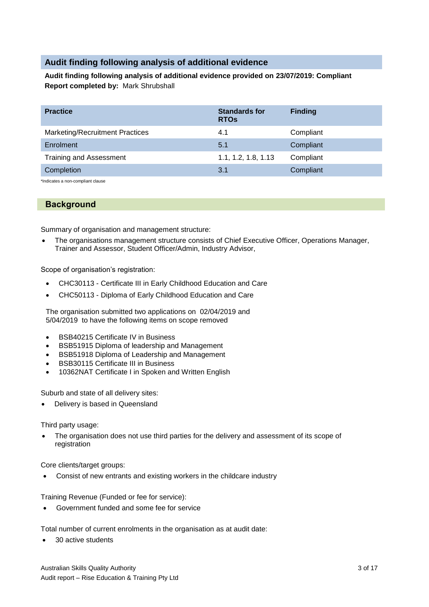# **Audit finding following analysis of additional evidence**

**Audit finding following analysis of additional evidence provided on 23/07/2019: Compliant Report completed by:** Mark Shrubshall

| <b>Practice</b>                 | <b>Standards for</b><br><b>RTOs</b> | <b>Finding</b> |
|---------------------------------|-------------------------------------|----------------|
| Marketing/Recruitment Practices | 4.1                                 | Compliant      |
| Enrolment                       | 5.1                                 | Compliant      |
| <b>Training and Assessment</b>  | 1.1, 1.2, 1.8, 1.13                 | Compliant      |
| Completion                      | 3.1                                 | Compliant      |

\*Indicates a non-compliant clause

# **Background**

Summary of organisation and management structure:

 The organisations management structure consists of Chief Executive Officer, Operations Manager, Trainer and Assessor, Student Officer/Admin, Industry Advisor,

Scope of organisation's registration:

- CHC30113 Certificate III in Early Childhood Education and Care
- CHC50113 Diploma of Early Childhood Education and Care

The organisation submitted two applications on 02/04/2019 and 5/04/2019 to have the following items on scope removed

- BSB40215 Certificate IV in Business
- BSB51915 Diploma of leadership and Management
- BSB51918 Diploma of Leadership and Management
- **•** BSB30115 Certificate III in Business
- 10362NAT Certificate I in Spoken and Written English

Suburb and state of all delivery sites:

Delivery is based in Queensland

Third party usage:

 The organisation does not use third parties for the delivery and assessment of its scope of registration

Core clients/target groups:

Consist of new entrants and existing workers in the childcare industry

Training Revenue (Funded or fee for service):

Government funded and some fee for service

Total number of current enrolments in the organisation as at audit date:

• 30 active students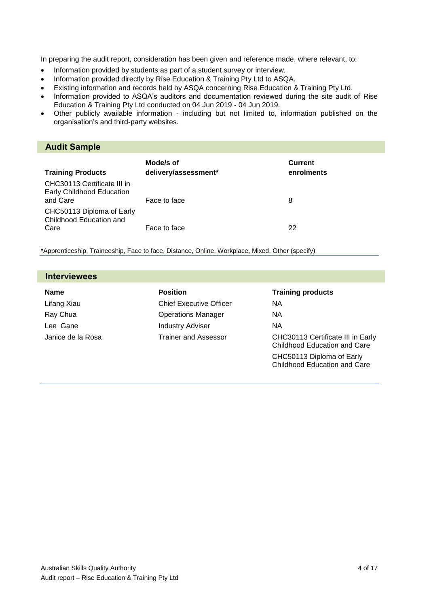In preparing the audit report, consideration has been given and reference made, where relevant, to:

- Information provided by students as part of a student survey or interview.
- Information provided directly by Rise Education & Training Pty Ltd to ASQA.
- Existing information and records held by ASQA concerning Rise Education & Training Pty Ltd.
- Information provided to ASQA's auditors and documentation reviewed during the site audit of Rise Education & Training Pty Ltd conducted on 04 Jun 2019 - 04 Jun 2019.
- Other publicly available information including but not limited to, information published on the organisation's and third-party websites.

# **Audit Sample**

| <b>Training Products</b>                                             | Mode/s of<br>delivery/assessment* | <b>Current</b><br>enrolments |
|----------------------------------------------------------------------|-----------------------------------|------------------------------|
| CHC30113 Certificate III in<br>Early Childhood Education<br>and Care | Face to face                      | 8                            |
| CHC50113 Diploma of Early<br>Childhood Education and<br>Care         | Face to face                      | 22                           |

\*Apprenticeship, Traineeship, Face to face, Distance, Online, Workplace, Mixed, Other (specify)

| <b>Interviewees</b> |                                |                                                                   |
|---------------------|--------------------------------|-------------------------------------------------------------------|
| <b>Name</b>         | <b>Position</b>                | <b>Training products</b>                                          |
| Lifang Xiau         | <b>Chief Executive Officer</b> | <b>NA</b>                                                         |
| Ray Chua            | <b>Operations Manager</b>      | NА                                                                |
| Lee Gane            | <b>Industry Adviser</b>        | <b>NA</b>                                                         |
| Janice de la Rosa   | <b>Trainer and Assessor</b>    | CHC30113 Certificate III in Early<br>Childhood Education and Care |
|                     |                                | CHC50113 Diploma of Early<br><b>Childhood Education and Care</b>  |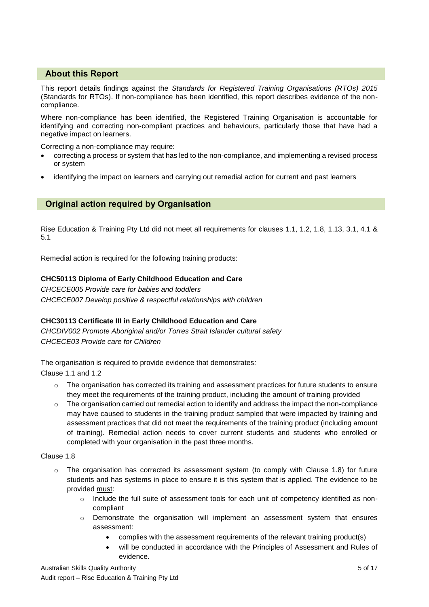# **About this Report**

This report details findings against the *Standards for Registered Training Organisations (RTOs) 2015* (Standards for RTOs). If non-compliance has been identified, this report describes evidence of the noncompliance.

Where non-compliance has been identified, the Registered Training Organisation is accountable for identifying and correcting non-compliant practices and behaviours, particularly those that have had a negative impact on learners.

Correcting a non-compliance may require:

- correcting a process or system that has led to the non-compliance, and implementing a revised process or system
- identifying the impact on learners and carrying out remedial action for current and past learners

# **Original action required by Organisation**

Rise Education & Training Pty Ltd did not meet all requirements for clauses 1.1, 1.2, 1.8, 1.13, 3.1, 4.1 & 5.1

Remedial action is required for the following training products:

# **CHC50113 Diploma of Early Childhood Education and Care**

*CHCECE005 Provide care for babies and toddlers CHCECE007 Develop positive & respectful relationships with children*

# **CHC30113 Certificate III in Early Childhood Education and Care**

*CHCDIV002 Promote Aboriginal and/or Torres Strait Islander cultural safety CHCECE03 Provide care for Children*

The organisation is required to provide evidence that demonstrates*:* Clause 1.1 and 1.2

- $\circ$  The organisation has corrected its training and assessment practices for future students to ensure they meet the requirements of the training product, including the amount of training provided
- $\circ$  The organisation carried out remedial action to identify and address the impact the non-compliance may have caused to students in the training product sampled that were impacted by training and assessment practices that did not meet the requirements of the training product (including amount of training). Remedial action needs to cover current students and students who enrolled or completed with your organisation in the past three months.

## Clause 1.8

- $\circ$  The organisation has corrected its assessment system (to comply with Clause 1.8) for future students and has systems in place to ensure it is this system that is applied. The evidence to be provided must:
	- o Include the full suite of assessment tools for each unit of competency identified as noncompliant
	- o Demonstrate the organisation will implement an assessment system that ensures assessment:
		- complies with the assessment requirements of the relevant training product(s)
		- will be conducted in accordance with the Principles of Assessment and Rules of evidence.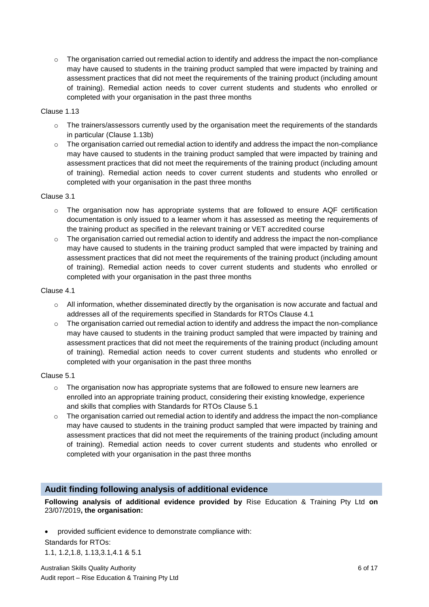$\circ$  The organisation carried out remedial action to identify and address the impact the non-compliance may have caused to students in the training product sampled that were impacted by training and assessment practices that did not meet the requirements of the training product (including amount of training). Remedial action needs to cover current students and students who enrolled or completed with your organisation in the past three months

# Clause 1.13

- $\circ$  The trainers/assessors currently used by the organisation meet the requirements of the standards in particular (Clause 1.13b)
- $\circ$  The organisation carried out remedial action to identify and address the impact the non-compliance may have caused to students in the training product sampled that were impacted by training and assessment practices that did not meet the requirements of the training product (including amount of training). Remedial action needs to cover current students and students who enrolled or completed with your organisation in the past three months

#### Clause 3.1

- $\circ$  The organisation now has appropriate systems that are followed to ensure AQF certification documentation is only issued to a learner whom it has assessed as meeting the requirements of the training product as specified in the relevant training or VET accredited course
- $\circ$  The organisation carried out remedial action to identify and address the impact the non-compliance may have caused to students in the training product sampled that were impacted by training and assessment practices that did not meet the requirements of the training product (including amount of training). Remedial action needs to cover current students and students who enrolled or completed with your organisation in the past three months

#### Clause 4.1

- $\circ$  All information, whether disseminated directly by the organisation is now accurate and factual and addresses all of the requirements specified in Standards for RTOs Clause 4.1
- $\circ$  The organisation carried out remedial action to identify and address the impact the non-compliance may have caused to students in the training product sampled that were impacted by training and assessment practices that did not meet the requirements of the training product (including amount of training). Remedial action needs to cover current students and students who enrolled or completed with your organisation in the past three months

#### Clause 5.1

- $\circ$  The organisation now has appropriate systems that are followed to ensure new learners are enrolled into an appropriate training product, considering their existing knowledge, experience and skills that complies with Standards for RTOs Clause 5.1
- $\circ$  The organisation carried out remedial action to identify and address the impact the non-compliance may have caused to students in the training product sampled that were impacted by training and assessment practices that did not meet the requirements of the training product (including amount of training). Remedial action needs to cover current students and students who enrolled or completed with your organisation in the past three months

# **Audit finding following analysis of additional evidence**

**Following analysis of additional evidence provided by** Rise Education & Training Pty Ltd **on**  23/07/2019**, the organisation:**

- provided sufficient evidence to demonstrate compliance with:
- Standards for RTOs: 1.1, 1.2,1.8, 1.13,3.1,4.1 & 5.1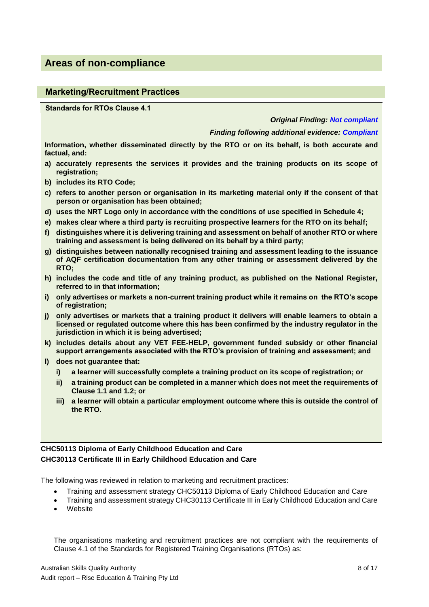# **Areas of non-compliance**

# **Marketing/Recruitment Practices**

**Standards for RTOs Clause 4.1**

#### *Original Finding: Not compliant*

#### *Finding following additional evidence: Compliant*

**Information, whether disseminated directly by the RTO or on its behalf, is both accurate and factual, and:**

- **a) accurately represents the services it provides and the training products on its scope of registration;**
- **b) includes its RTO Code;**
- **c) refers to another person or organisation in its marketing material only if the consent of that person or organisation has been obtained;**
- **d) uses the NRT Logo only in accordance with the conditions of use specified in Schedule 4;**
- **e) makes clear where a third party is recruiting prospective learners for the RTO on its behalf;**
- **f) distinguishes where it is delivering training and assessment on behalf of another RTO or where training and assessment is being delivered on its behalf by a third party;**
- **g) distinguishes between nationally recognised training and assessment leading to the issuance of AQF certification documentation from any other training or assessment delivered by the RTO;**
- **h) includes the code and title of any training product, as published on the National Register, referred to in that information;**
- **i) only advertises or markets a non-current training product while it remains on the RTO's scope of registration;**
- **j) only advertises or markets that a training product it delivers will enable learners to obtain a licensed or regulated outcome where this has been confirmed by the industry regulator in the jurisdiction in which it is being advertised;**
- **k) includes details about any VET FEE-HELP, government funded subsidy or other financial support arrangements associated with the RTO's provision of training and assessment; and**
- **l) does not guarantee that:**
	- **i) a learner will successfully complete a training product on its scope of registration; or**
	- **ii) a training product can be completed in a manner which does not meet the requirements of Clause 1.1 and 1.2; or**
	- **iii) a learner will obtain a particular employment outcome where this is outside the control of the RTO.**

# **CHC50113 Diploma of Early Childhood Education and Care CHC30113 Certificate III in Early Childhood Education and Care**

The following was reviewed in relation to marketing and recruitment practices:

- Training and assessment strategy CHC50113 Diploma of Early Childhood Education and Care
- Training and assessment strategy CHC30113 Certificate III in Early Childhood Education and Care
- **Website**

The organisations marketing and recruitment practices are not compliant with the requirements of Clause 4.1 of the Standards for Registered Training Organisations (RTOs) as: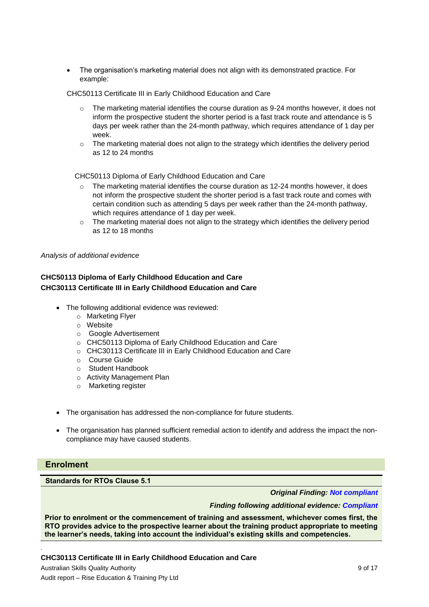The organisation's marketing material does not align with its demonstrated practice. For example:

CHC50113 Certificate III in Early Childhood Education and Care

- The marketing material identifies the course duration as 9-24 months however, it does not inform the prospective student the shorter period is a fast track route and attendance is 5 days per week rather than the 24-month pathway, which requires attendance of 1 day per week.
- $\circ$  The marketing material does not align to the strategy which identifies the delivery period as 12 to 24 months

CHC50113 Diploma of Early Childhood Education and Care

- $\circ$  The marketing material identifies the course duration as 12-24 months however, it does not inform the prospective student the shorter period is a fast track route and comes with certain condition such as attending 5 days per week rather than the 24-month pathway, which requires attendance of 1 day per week.
- o The marketing material does not align to the strategy which identifies the delivery period as 12 to 18 months

*Analysis of additional evidence*

# **CHC50113 Diploma of Early Childhood Education and Care CHC30113 Certificate III in Early Childhood Education and Care**

- The following additional evidence was reviewed:
	- o Marketing Flyer
	- o Website
	- o Google Advertisement
	- o CHC50113 Diploma of Early Childhood Education and Care
	- o CHC30113 Certificate III in Early Childhood Education and Care
	- o Course Guide
	- o Student Handbook
	- o Activity Management Plan
	- o Marketing register
- The organisation has addressed the non-compliance for future students.
- The organisation has planned sufficient remedial action to identify and address the impact the noncompliance may have caused students.

# **Enrolment**

*.*

**Standards for RTOs Clause 5.1**

*Original Finding: Not compliant*

*Finding following additional evidence: Compliant*

**Prior to enrolment or the commencement of training and assessment, whichever comes first, the RTO provides advice to the prospective learner about the training product appropriate to meeting the learner's needs, taking into account the individual's existing skills and competencies.**

**CHC30113 Certificate III in Early Childhood Education and Care**

Australian Skills Quality Authority 9 of 17 Audit report – Rise Education & Training Pty Ltd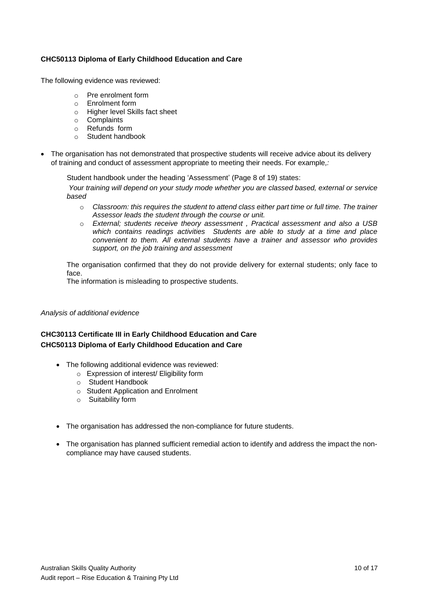# **CHC50113 Diploma of Early Childhood Education and Care**

The following evidence was reviewed:

- o Pre enrolment form
- o Enrolment form
- o Higher level Skills fact sheet
- o Complaints
- o Refunds form
- o Student handbook
- The organisation has not demonstrated that prospective students will receive advice about its delivery of training and conduct of assessment appropriate to meeting their needs. For example*,:*

Student handbook under the heading 'Assessment' (Page 8 of 19) states:

*Your training will depend on your study mode whether you are classed based, external or service based*

- o *Classroom: this requires the student to attend class either part time or full time. The trainer Assessor leads the student through the course or unit.*
- o *External; students receive theory assessment , Practical assessment and also a USB which contains readings activities Students are able to study at a time and place convenient to them. All external students have a trainer and assessor who provides support, on the job training and assessment*

The organisation confirmed that they do not provide delivery for external students; only face to face.

The information is misleading to prospective students.

#### *Analysis of additional evidence*

# **CHC30113 Certificate III in Early Childhood Education and Care CHC50113 Diploma of Early Childhood Education and Care**

- The following additional evidence was reviewed:
	- o Expression of interest/ Eligibility form
	- o Student Handbook
	- o Student Application and Enrolment
	- o Suitability form
- The organisation has addressed the non-compliance for future students.
- The organisation has planned sufficient remedial action to identify and address the impact the noncompliance may have caused students.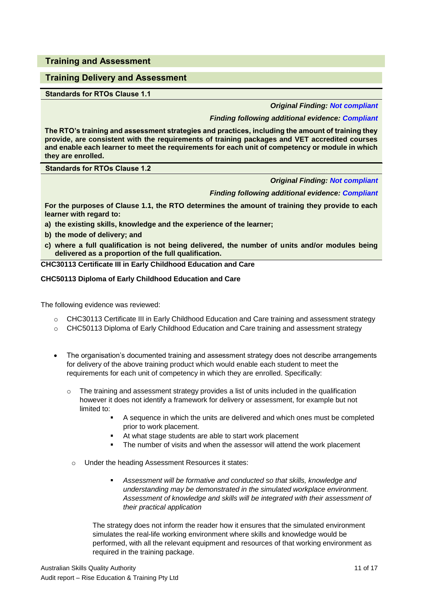**Training and Assessment**

# **Training Delivery and Assessment**

**Standards for RTOs Clause 1.1**

*Original Finding: Not compliant*

## *Finding following additional evidence: Compliant*

**The RTO's training and assessment strategies and practices, including the amount of training they provide, are consistent with the requirements of training packages and VET accredited courses and enable each learner to meet the requirements for each unit of competency or module in which they are enrolled.**

**Standards for RTOs Clause 1.2**

*Original Finding: Not compliant*

*Finding following additional evidence: Compliant*

**For the purposes of Clause 1.1, the RTO determines the amount of training they provide to each learner with regard to:**

**a) the existing skills, knowledge and the experience of the learner;** 

- **b) the mode of delivery; and**
- **c) where a full qualification is not being delivered, the number of units and/or modules being delivered as a proportion of the full qualification.**

**CHC30113 Certificate III in Early Childhood Education and Care**

#### **CHC50113 Diploma of Early Childhood Education and Care**

The following evidence was reviewed:

- o CHC30113 Certificate III in Early Childhood Education and Care training and assessment strategy
- o CHC50113 Diploma of Early Childhood Education and Care training and assessment strategy
- The organisation's documented training and assessment strategy does not describe arrangements for delivery of the above training product which would enable each student to meet the requirements for each unit of competency in which they are enrolled. Specifically:
	- $\circ$  The training and assessment strategy provides a list of units included in the qualification however it does not identify a framework for delivery or assessment, for example but not limited to:
		- A sequence in which the units are delivered and which ones must be completed prior to work placement.
		- At what stage students are able to start work placement
		- The number of visits and when the assessor will attend the work placement
		- o Under the heading Assessment Resources it states:
			- *Assessment will be formative and conducted so that skills, knowledge and understanding may be demonstrated in the simulated workplace environment. Assessment of knowledge and skills will be integrated with their assessment of their practical application*

The strategy does not inform the reader how it ensures that the simulated environment simulates the real-life working environment where skills and knowledge would be performed, with all the relevant equipment and resources of that working environment as required in the training package.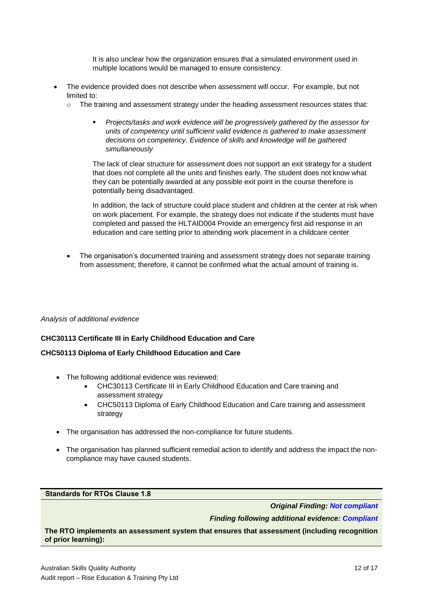It is also unclear how the organization ensures that a simulated environment used in multiple locations would be managed to ensure consistency.

- The evidence provided does not describe when assessment will occur. For example, but not limited to:
	- o The training and assessment strategy under the heading assessment resources states that:
		- *Projects/tasks and work evidence will be progressively gathered by the assessor for units of competency until sufficient valid evidence is gathered to make assessment decisions on competency. Evidence of skills and knowledge will be gathered simultaneously*

The lack of clear structure for assessment does not support an exit strategy for a student that does not complete all the units and finishes early. The student does not know what they can be potentially awarded at any possible exit point in the course therefore is potentially being disadvantaged.

In addition, the lack of structure could place student and children at the center at risk when on work placement. For example, the strategy does not indicate if the students must have completed and passed the HLTAID004 Provide an emergency first aid response in an education and care setting prior to attending work placement in a childcare center

 The organisation's documented training and assessment strategy does not separate training from assessment; therefore, it cannot be confirmed what the actual amount of training is.

# *Analysis of additional evidence*

# **CHC30113 Certificate III in Early Childhood Education and Care**

# **CHC50113 Diploma of Early Childhood Education and Care**

- The following additional evidence was reviewed:
	- CHC30113 Certificate III in Early Childhood Education and Care training and assessment strategy
	- CHC50113 Diploma of Early Childhood Education and Care training and assessment strategy
- The organisation has addressed the non-compliance for future students.
- The organisation has planned sufficient remedial action to identify and address the impact the noncompliance may have caused students.

**Standards for RTOs Clause 1.8**

*Original Finding: Not compliant*

*Finding following additional evidence: Compliant*

**The RTO implements an assessment system that ensures that assessment (including recognition of prior learning):**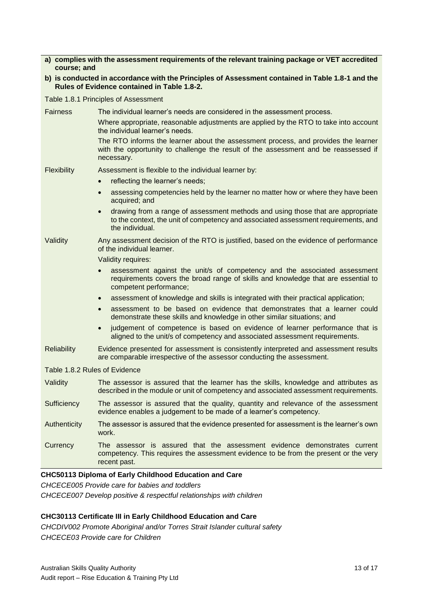| a) complies with the assessment requirements of the relevant training package or VET accredited |
|-------------------------------------------------------------------------------------------------|
| course: and                                                                                     |

**b) is conducted in accordance with the Principles of Assessment contained in Table 1.8-1 and the Rules of Evidence contained in Table 1.8-2.**

Table 1.8.1 Principles of Assessment

Fairness The individual learner's needs are considered in the assessment process. Where appropriate, reasonable adjustments are applied by the RTO to take into account the individual learner's needs. The RTO informs the learner about the assessment process, and provides the learner with the opportunity to challenge the result of the assessment and be reassessed if necessary. Flexibility Assessment is flexible to the individual learner by: • reflecting the learner's needs; assessing competencies held by the learner no matter how or where they have been acquired; and drawing from a range of assessment methods and using those that are appropriate to the context, the unit of competency and associated assessment requirements, and the individual. Validity Any assessment decision of the RTO is justified, based on the evidence of performance of the individual learner. Validity requires: assessment against the unit/s of competency and the associated assessment requirements covers the broad range of skills and knowledge that are essential to competent performance; assessment of knowledge and skills is integrated with their practical application; assessment to be based on evidence that demonstrates that a learner could demonstrate these skills and knowledge in other similar situations; and • judgement of competence is based on evidence of learner performance that is aligned to the unit/s of competency and associated assessment requirements. Reliability Evidence presented for assessment is consistently interpreted and assessment results are comparable irrespective of the assessor conducting the assessment. Table 1.8.2 Rules of Evidence Validity The assessor is assured that the learner has the skills, knowledge and attributes as described in the module or unit of competency and associated assessment requirements. Sufficiency The assessor is assured that the quality, quantity and relevance of the assessment evidence enables a judgement to be made of a learner's competency. Authenticity The assessor is assured that the evidence presented for assessment is the learner's own work. Currency The assessor is assured that the assessment evidence demonstrates current competency. This requires the assessment evidence to be from the present or the very recent past.

# **CHC50113 Diploma of Early Childhood Education and Care**

*CHCECE005 Provide care for babies and toddlers*

*CHCECE007 Develop positive & respectful relationships with children*

# **CHC30113 Certificate III in Early Childhood Education and Care**

*CHCDIV002 Promote Aboriginal and/or Torres Strait Islander cultural safety CHCECE03 Provide care for Children*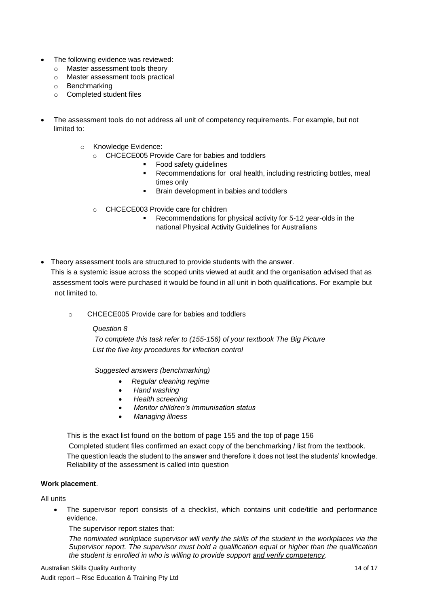- The following evidence was reviewed:
	- o Master assessment tools theory
	- o Master assessment tools practical
	- o Benchmarking
	- o Completed student files
- The assessment tools do not address all unit of competency requirements. For example, but not limited to:
	- o Knowledge Evidence:
		- o CHCECE005 Provide Care for babies and toddlers
			- Food safety guidelines
			- Recommendations for oral health, including restricting bottles, meal times only
			- **Brain development in babies and toddlers**
		- o CHCECE003 Provide care for children
			- Recommendations for physical activity for 5-12 year-olds in the national Physical Activity Guidelines for Australians
- Theory assessment tools are structured to provide students with the answer.

 This is a systemic issue across the scoped units viewed at audit and the organisation advised that as assessment tools were purchased it would be found in all unit in both qualifications. For example but not limited to.

oCHCECE005 Provide care for babies and toddlers

# *Question 8*

*To complete this task refer to (155-156) of your textbook The Big Picture List the five key procedures for infection control*

*Suggested answers (benchmarking)*

- *Regular cleaning regime*
- *Hand washing*
- *Health screening*
- *Monitor children's immunisation status*
- *Managing illness*

This is the exact list found on the bottom of page 155 and the top of page 156

Completed student files confirmed an exact copy of the benchmarking / list from the textbook.

The question leads the student to the answer and therefore it does not test the students' knowledge. Reliability of the assessment is called into question

# **Work placement**.

# All units

 The supervisor report consists of a checklist, which contains unit code/title and performance evidence.

The supervisor report states that:

*The nominated workplace supervisor will verify the skills of the student in the workplaces via the Supervisor report. The supervisor must hold a qualification equal or higher than the qualification the student is enrolled in who is willing to provide support and verify competency*.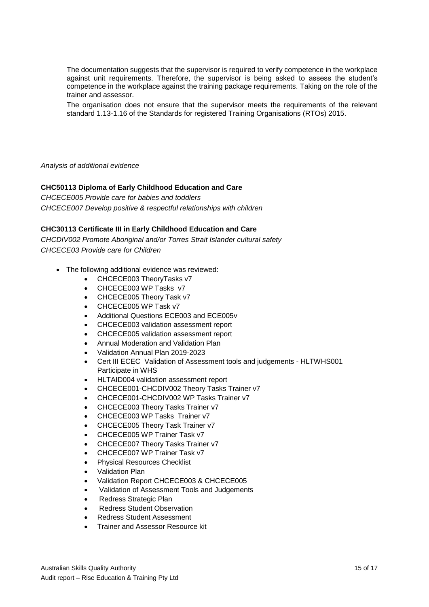The documentation suggests that the supervisor is required to verify competence in the workplace against unit requirements. Therefore, the supervisor is being asked to assess the student's competence in the workplace against the training package requirements. Taking on the role of the trainer and assessor.

The organisation does not ensure that the supervisor meets the requirements of the relevant standard 1.13-1.16 of the Standards for registered Training Organisations (RTOs) 2015.

*Analysis of additional evidence*

# **CHC50113 Diploma of Early Childhood Education and Care**

*CHCECE005 Provide care for babies and toddlers CHCECE007 Develop positive & respectful relationships with children*

# **CHC30113 Certificate III in Early Childhood Education and Care**

*CHCDIV002 Promote Aboriginal and/or Torres Strait Islander cultural safety CHCECE03 Provide care for Children*

- The following additional evidence was reviewed:
	- CHCECE003 TheoryTasks v7
	- CHCECE003 WP Tasks v7
	- CHCECE005 Theory Task v7
	- CHCECE005 WP Task v7
	- Additional Questions ECE003 and ECE005v
	- CHCECE003 validation assessment report
	- CHCECE005 validation assessment report
	- Annual Moderation and Validation Plan
	- Validation Annual Plan 2019-2023
	- Cert III ECEC Validation of Assessment tools and judgements HLTWHS001 Participate in WHS
	- HLTAID004 validation assessment report
	- CHCECE001-CHCDIV002 Theory Tasks Trainer v7
	- CHCECE001-CHCDIV002 WP Tasks Trainer v7
	- CHCECE003 Theory Tasks Trainer v7
	- CHCECE003 WP Tasks Trainer v7
	- CHCECE005 Theory Task Trainer v7
	- CHCECE005 WP Trainer Task v7
	- CHCECE007 Theory Tasks Trainer v7
	- CHCECE007 WP Trainer Task v7
	- Physical Resources Checklist
	- Validation Plan
	- Validation Report CHCECE003 & CHCECE005
	- Validation of Assessment Tools and Judgements
	- Redress Strategic Plan
	- Redress Student Observation
	- Redress Student Assessment
	- Trainer and Assessor Resource kit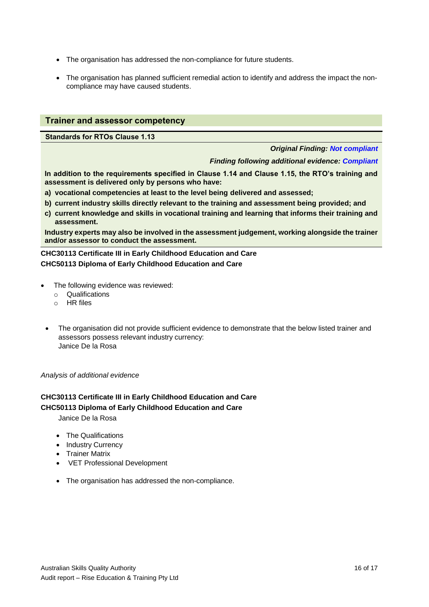- The organisation has addressed the non-compliance for future students.
- The organisation has planned sufficient remedial action to identify and address the impact the noncompliance may have caused students.

## **Trainer and assessor competency**

**Standards for RTOs Clause 1.13**

#### *Original Finding: Not compliant*

#### *Finding following additional evidence: Compliant*

**In addition to the requirements specified in Clause 1.14 and Clause 1.15, the RTO's training and assessment is delivered only by persons who have:** 

- **a) vocational competencies at least to the level being delivered and assessed;**
- **b) current industry skills directly relevant to the training and assessment being provided; and**
- **c) current knowledge and skills in vocational training and learning that informs their training and assessment.**

**Industry experts may also be involved in the assessment judgement, working alongside the trainer and/or assessor to conduct the assessment.**

**CHC30113 Certificate III in Early Childhood Education and Care CHC50113 Diploma of Early Childhood Education and Care**

- The following evidence was reviewed:
	- o Qualifications
	- o HR files
	- The organisation did not provide sufficient evidence to demonstrate that the below listed trainer and assessors possess relevant industry currency: Janice De la Rosa

*Analysis of additional evidence*

# **CHC30113 Certificate III in Early Childhood Education and Care CHC50113 Diploma of Early Childhood Education and Care**

Janice De la Rosa

- The Qualifications
- Industry Currency
- Trainer Matrix
- VET Professional Development
- The organisation has addressed the non-compliance.